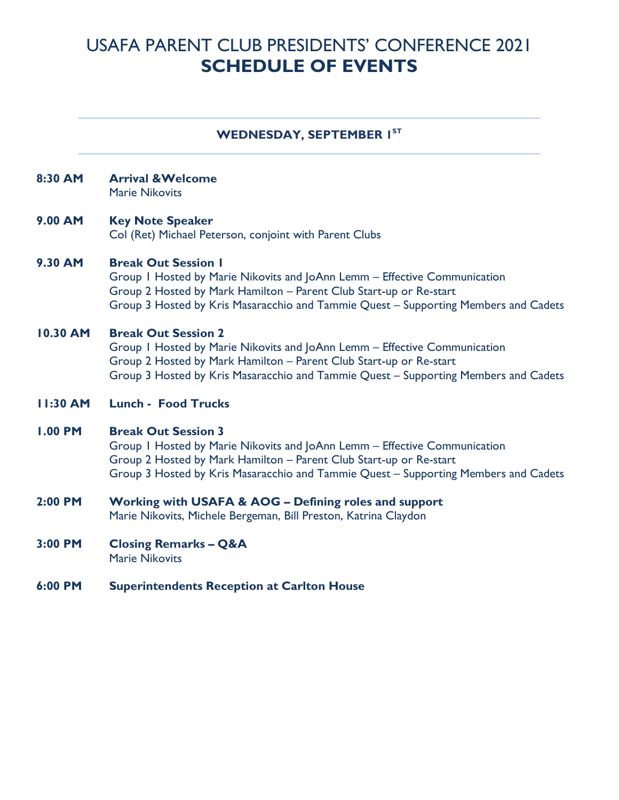# USAFA PARENT CLUB PRESIDENTS' CONFERENCE 2021 **SCHEDULE OF EVENTS**

### **WEDNESDAY, SEPTEMBER IST**

# **8:30 AM Arrival &Welcome**

Marie Nikovits

#### **9.00 AM Key Note Speaker**

Col (Ret) Michael Peterson, conjoint with Parent Clubs

## **9.30 AM Break Out Session 1**

Group 1 Hosted by Marie Nikovits and JoAnn Lemm – Effective Communication Group 2 Hosted by Mark Hamilton – Parent Club Start-up or Re-start Group 3 Hosted by Kris Masaracchio and Tammie Quest – Supporting Members and Cadets

#### **10.30 AM Break Out Session 2**

Group 1 Hosted by Marie Nikovits and JoAnn Lemm – Effective Communication Group 2 Hosted by Mark Hamilton – Parent Club Start-up or Re-start Group 3 Hosted by Kris Masaracchio and Tammie Quest – Supporting Members and Cadets

**11:30 AM Lunch - Food Trucks**

#### **1.00 PM Break Out Session 3**

Group 1 Hosted by Marie Nikovits and JoAnn Lemm – Effective Communication Group 2 Hosted by Mark Hamilton – Parent Club Start-up or Re-start Group 3 Hosted by Kris Masaracchio and Tammie Quest – Supporting Members and Cadets

## **2:00 PM Working with USAFA & AOG – Defining roles and support**

Marie Nikovits, Michele Bergeman, Bill Preston, Katrina Claydon

**3:00 PM Closing Remarks – Q&A** Marie Nikovits

#### **6:00 PM Superintendents Reception at Carlton House**